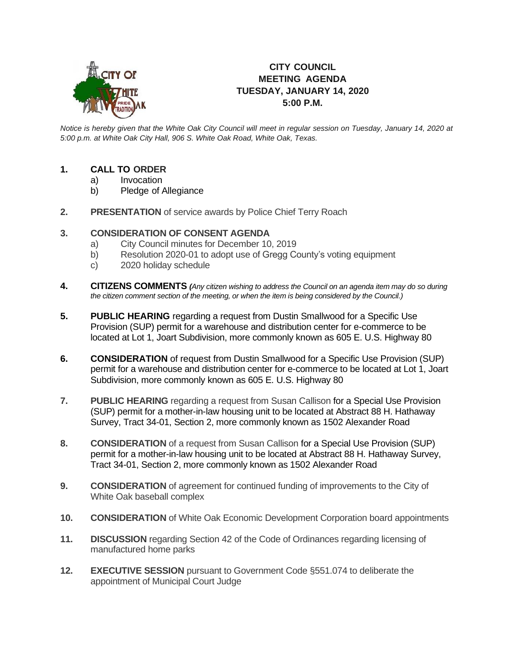

# **CITY COUNCIL MEETING AGENDA TUESDAY, JANUARY 14, 2020 5:00 P.M.**

*Notice is hereby given that the White Oak City Council will meet in regular session on Tuesday, January 14, 2020 at 5:00 p.m. at White Oak City Hall, 906 S. White Oak Road, White Oak, Texas.*

## **1. CALL TO ORDER**

- a) Invocation
- b) Pledge of Allegiance
- **2. PRESENTATION** of service awards by Police Chief Terry Roach

## **3. CONSIDERATION OF CONSENT AGENDA**

- a) City Council minutes for December 10, 2019
- b) Resolution 2020-01 to adopt use of Gregg County's voting equipment
- c) 2020 holiday schedule
- **4. CITIZENS COMMENTS** *(Any citizen wishing to address the Council on an agenda item may do so during the citizen comment section of the meeting, or when the item is being considered by the Council.)*
- **5. PUBLIC HEARING** regarding a request from Dustin Smallwood for a Specific Use Provision (SUP) permit for a warehouse and distribution center for e-commerce to be located at Lot 1, Joart Subdivision, more commonly known as 605 E. U.S. Highway 80
- **6. CONSIDERATION** of request from Dustin Smallwood for a Specific Use Provision (SUP) permit for a warehouse and distribution center for e-commerce to be located at Lot 1, Joart Subdivision, more commonly known as 605 E. U.S. Highway 80
- **7. PUBLIC HEARING** regarding a request from Susan Callison for a Special Use Provision (SUP) permit for a mother-in-law housing unit to be located at Abstract 88 H. Hathaway Survey, Tract 34-01, Section 2, more commonly known as 1502 Alexander Road
- **8. CONSIDERATION** of a request from Susan Callison for a Special Use Provision (SUP) permit for a mother-in-law housing unit to be located at Abstract 88 H. Hathaway Survey, Tract 34-01, Section 2, more commonly known as 1502 Alexander Road
- **9. CONSIDERATION** of agreement for continued funding of improvements to the City of White Oak baseball complex
- **10. CONSIDERATION** of White Oak Economic Development Corporation board appointments
- **11. DISCUSSION** regarding Section 42 of the Code of Ordinances regarding licensing of manufactured home parks
- **12. EXECUTIVE SESSION** pursuant to Government Code §551.074 to deliberate the appointment of Municipal Court Judge